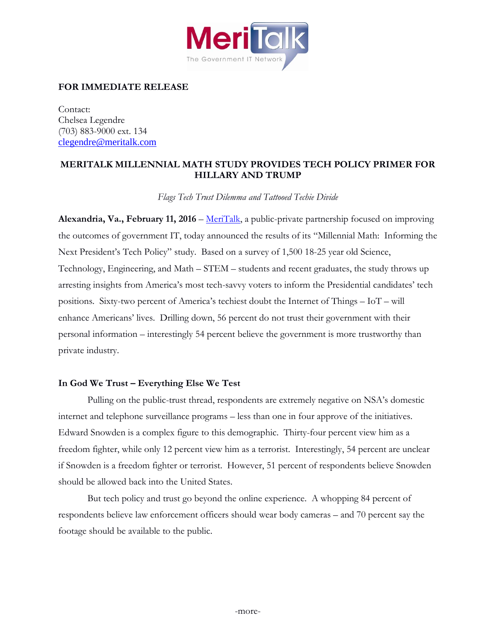

# **FOR IMMEDIATE RELEASE**

Contact: Chelsea Legendre (703) 883-9000 ext. 134 [clegendre@meritalk.com](mailto:clegendre@meritalk.com)

# **MERITALK MILLENNIAL MATH STUDY PROVIDES TECH POLICY PRIMER FOR HILLARY AND TRUMP**

*Flags Tech Trust Dilemma and Tattooed Techie Divide*

**Alexandria, Va., February 11, 2016** – [MeriTalk,](http://www.meritalk.com/) a public-private partnership focused on improving the outcomes of government IT, today announced the results of its "Millennial Math: Informing the Next President's Tech Policy" study. Based on a survey of 1,500 18-25 year old Science, Technology, Engineering, and Math – STEM – students and recent graduates, the study throws up arresting insights from America's most tech-savvy voters to inform the Presidential candidates' tech positions. Sixty-two percent of America's techiest doubt the Internet of Things – IoT – will enhance Americans' lives. Drilling down, 56 percent do not trust their government with their personal information – interestingly 54 percent believe the government is more trustworthy than private industry.

## **In God We Trust – Everything Else We Test**

Pulling on the public-trust thread, respondents are extremely negative on NSA's domestic internet and telephone surveillance programs – less than one in four approve of the initiatives. Edward Snowden is a complex figure to this demographic. Thirty-four percent view him as a freedom fighter, while only 12 percent view him as a terrorist. Interestingly, 54 percent are unclear if Snowden is a freedom fighter or terrorist. However, 51 percent of respondents believe Snowden should be allowed back into the United States.

But tech policy and trust go beyond the online experience. A whopping 84 percent of respondents believe law enforcement officers should wear body cameras – and 70 percent say the footage should be available to the public.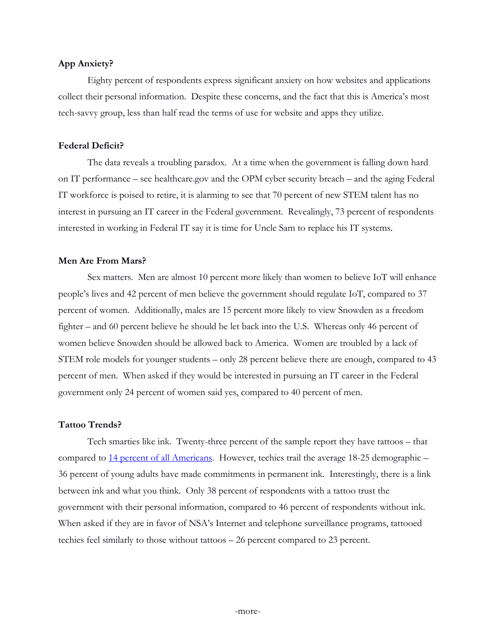### **App Anxiety?**

Eighty percent of respondents express significant anxiety on how websites and applications collect their personal information. Despite these concerns, and the fact that this is America's most tech-savvy group, less than half read the terms of use for website and apps they utilize.

#### **Federal Deficit?**

The data reveals a troubling paradox. At a time when the government is falling down hard on IT performance – see healthcare.gov and the OPM cyber security breach – and the aging Federal IT workforce is poised to retire, it is alarming to see that 70 percent of new STEM talent has no interest in pursuing an IT career in the Federal government. Revealingly, 73 percent of respondents interested in working in Federal IT say it is time for Uncle Sam to replace his IT systems.

#### **Men Are From Mars?**

Sex matters. Men are almost 10 percent more likely than women to believe IoT will enhance people's lives and 42 percent of men believe the government should regulate IoT, compared to 37 percent of women. Additionally, males are 15 percent more likely to view Snowden as a freedom fighter – and 60 percent believe he should be let back into the U.S. Whereas only 46 percent of women believe Snowden should be allowed back to America. Women are troubled by a lack of STEM role models for younger students – only 28 percent believe there are enough, compared to 43 percent of men. When asked if they would be interested in pursuing an IT career in the Federal government only 24 percent of women said yes, compared to 40 percent of men.

### **Tattoo Trends?**

Tech smarties like ink. Twenty-three percent of the sample report they have tattoos – that compared to [14 percent of all Americans.](http://www.statisticbrain.com/tattoo-statistics/) However, techies trail the average 18-25 demographic – 36 percent of young adults have made commitments in permanent ink. Interestingly, there is a link between ink and what you think. Only 38 percent of respondents with a tattoo trust the government with their personal information, compared to 46 percent of respondents without ink. When asked if they are in favor of NSA's Internet and telephone surveillance programs, tattooed techies feel similarly to those without tattoos – 26 percent compared to 23 percent.